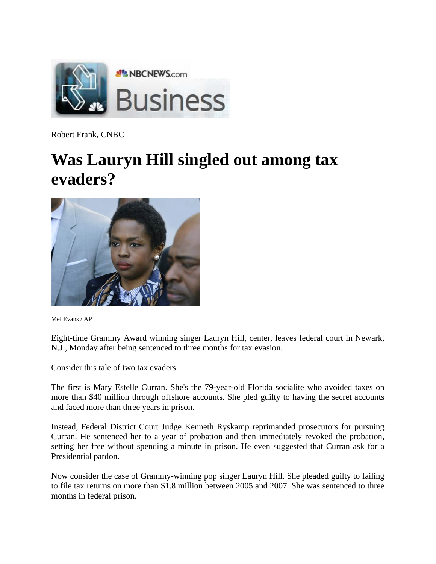

Robert Frank, CNBC

## **Was Lauryn Hill singled out among tax evaders?**



Mel Evans / AP

Eight-time Grammy Award winning singer Lauryn Hill, center, leaves federal court in Newark, N.J., Monday after being sentenced to three months for tax evasion.

Consider this tale of two tax evaders.

The first is Mary Estelle Curran. She's the 79-year-old Florida socialite who avoided taxes on more than \$40 million through offshore accounts. She pled guilty to having the secret accounts and faced more than three years in prison.

Instead, Federal District Court Judge Kenneth Ryskamp reprimanded prosecutors for pursuing Curran. He sentenced her to a year of probation and then immediately revoked the probation, setting her free without spending a minute in prison. He even suggested that Curran ask for a Presidential pardon.

Now consider the case of Grammy-winning pop singer Lauryn Hill. She pleaded guilty to failing to file tax returns on more than \$1.8 million between 2005 and 2007. She was sentenced to three months in federal prison.